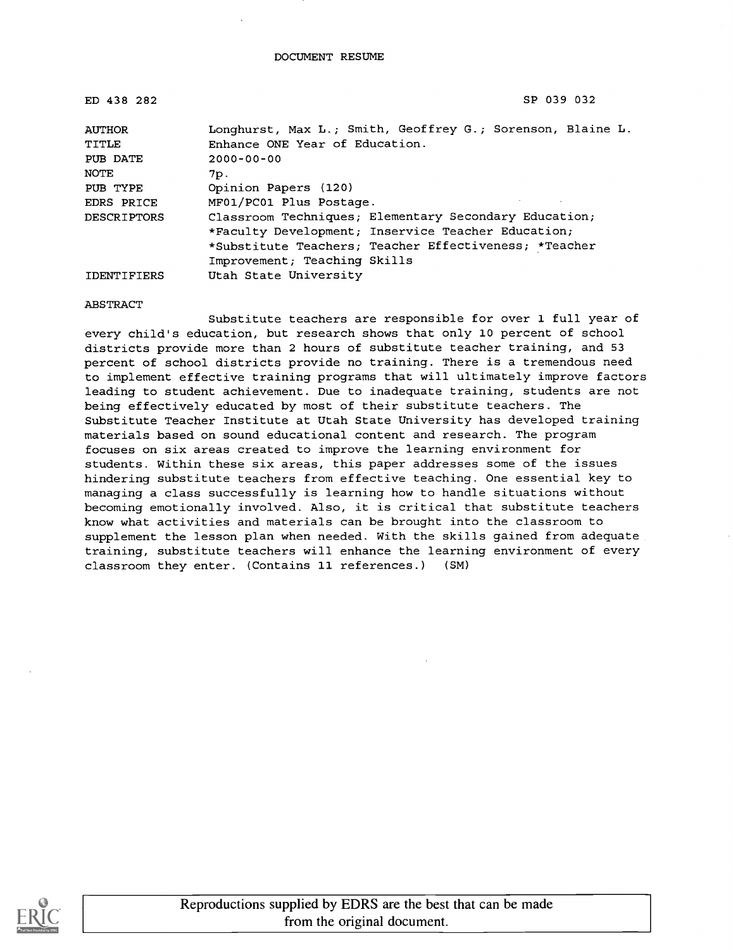| ED 438 282         | SP 039 032                                                 |  |
|--------------------|------------------------------------------------------------|--|
| <b>AUTHOR</b>      | Longhurst, Max L.; Smith, Geoffrey G.; Sorenson, Blaine L. |  |
| TITLE              | Enhance ONE Year of Education.                             |  |
| PUB DATE           | $2000 - 00 - 00$                                           |  |
| NOTE               | 7p.                                                        |  |
| PUB TYPE           | Opinion Papers (120)                                       |  |
| EDRS PRICE         | MF01/PC01 Plus Postage.                                    |  |
| <b>DESCRIPTORS</b> | Classroom Techniques; Elementary Secondary Education;      |  |
|                    | *Faculty Development; Inservice Teacher Education;         |  |
|                    | *Substitute Teachers; Teacher Effectiveness; *Teacher      |  |
|                    | Improvement; Teaching Skills                               |  |
| <b>IDENTIFIERS</b> | Utah State University                                      |  |

#### ABSTRACT

Substitute teachers are responsible for over 1 full year of every child's education, but research shows that only 10 percent of school districts provide more than 2 hours of substitute teacher training, and 53 percent of school districts provide no training. There is a tremendous need to implement effective training programs that will ultimately improve factors leading to student achievement. Due to inadequate training, students are not being effectively educated by most of their substitute teachers. The Substitute Teacher Institute at Utah State University has developed training materials based on sound educational content and research. The program focuses on six areas created to improve the learning environment for students. Within these six areas, this paper addresses some of the issues hindering substitute teachers from effective teaching. One essential key to managing a class successfully is learning how to handle situations without becoming emotionally involved. Also, it is critical that substitute teachers know what activities and materials can be brought into the classroom to supplement the lesson plan when needed. With the skills gained from adequate training, substitute teachers will enhance the learning environment of every classroom they enter. (Contains 11 references.) (SM)

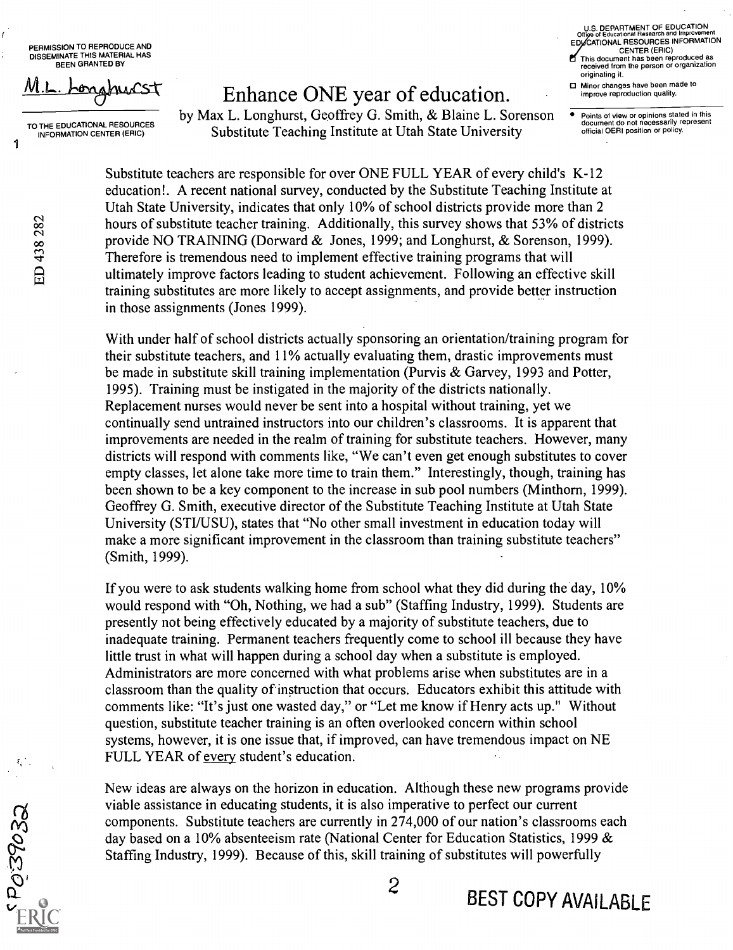PERMISSION TO REPRODUCE AND DISSEMINATE THIS MATERIAL HAS BEEN GRANTED BY

### TO THE EDUCATIONAL RESOURCES<br>INFORMATION CENTER (ERIC)

## **1-**  $\mu$ ,  $\mu$  Enhance ONE year of education.

by Max L. Longhurst, Geoffrey G. Smith, & Blaine L. Sorenson Substitute Teaching Institute at Utah State University

U.S. DEPARTMENT OF EDUCATION<br>Office of Educational Research and Improvement EDUCATIONAL RESOURCES INFORMATION CENTER (ERIC) This document has been reproduced as x

received from the person or organization originating it. □ Minor changes have been made to

improve reproduction quality.

Points of view or opinions stated in this document do not necessarily represent official OERI position or policy.

Substitute teachers are responsible for over ONE FULL YEAR of every child's K-12 education!. A recent national survey, conducted by the Substitute Teaching Institute at Utah State University, indicates that only 10% of school districts provide more than 2 hours of substitute teacher training. Additionally, this survey shows that 53% of districts provide NO TRAINING (Dorward & Jones, 1999; and Longhurst, & Sorenson, 1999). Therefore is tremendous need to implement effective training programs that will ultimately improve factors leading to student achievement. Following an effective skill training substitutes are more likely to accept assignments, and provide better instruction in those assignments (Jones 1999).

With under half of school districts actually sponsoring an orientation/training program for their substitute teachers, and 11% actually evaluating them, drastic improvements must be made in substitute skill training implementation (Purvis & Garvey, 1993 and Potter, 1995). Training must be instigated in the majority of the districts nationally. Replacement nurses would never be sent into a hospital without training, yet we continually send untrained instructors into our children's classrooms. It is apparent that improvements are needed in the realm of training for substitute teachers. However, many districts will respond with comments like, "We can't even get enough substitutes to cover empty classes, let alone take more time to train them." Interestingly, though, training has been shown to be a key component to the increase in sub pool numbers (Minthorn, 1999). Geoffrey G. Smith, executive director of the Substitute Teaching Institute at Utah State University (STI/USU), states that "No other small investment in education today will make a more significant improvement in the classroom than training substitute teachers" (Smith, 1999).

If you were to ask students walking home from school what they did during the day, 10% would respond with "Oh, Nothing, we had a sub" (Staffing Industry, 1999). Students are presently not being effectively educated by a majority of substitute teachers, due to inadequate training. Permanent teachers frequently come to school ill because they have little trust in what will happen during a school day when a substitute is employed. Administrators are more concerned with what problems arise when substitutes are in a classroom than the quality of instruction that occurs. Educators exhibit this attitude with comments like: "It's just one wasted day," or "Let me know if Henry acts up." Without question, substitute teacher training is an often overlooked concern within school systems, however, it is one issue that, if improved, can have tremendous impact on NE FULL YEAR of every student's education.

New ideas are always on the horizon in education. Although these new programs provide viable assistance in educating students, it is also imperative to perfect our current components. Substitute teachers are currently in 274,000 of our nation's classrooms each day based on a 10% absenteeism rate (National Center for Education Statistics, 1999 & Staffing Industry, 1999). Because of this, skill training of substitutes will powerfully

 $\mathbf{1}$ 

ŕ

PO39032

BEST COPY AVAILABLE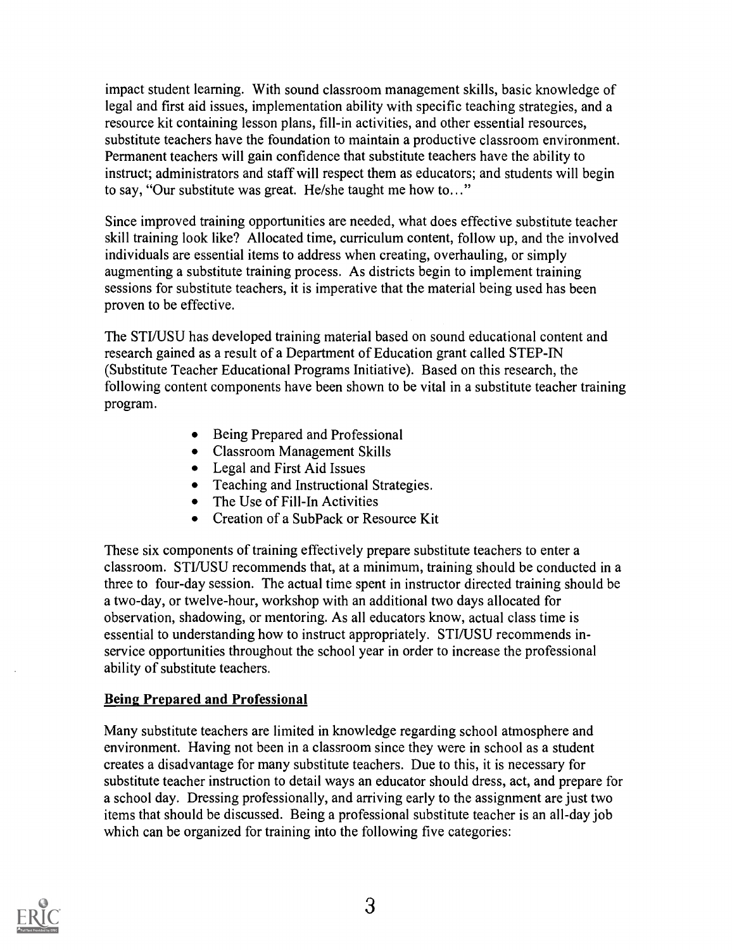impact student learning. With sound classroom management skills, basic knowledge of legal and first aid issues, implementation ability with specific teaching strategies, and a resource kit containing lesson plans, fill-in activities, and other essential resources, substitute teachers have the foundation to maintain a productive classroom environment. Permanent teachers will gain confidence that substitute teachers have the ability to instruct; administrators and staff will respect them as educators; and students will begin to say, "Our substitute was great. He/she taught me how to..."

Since improved training opportunities are needed, what does effective substitute teacher skill training look like? Allocated time, curriculum content, follow up, and the involved individuals are essential items to address when creating, overhauling, or simply augmenting a substitute training process. As districts begin to implement training sessions for substitute teachers, it is imperative that the material being used has been proven to be effective.

The STI/USU has developed training material based on sound educational content and research gained as a result of a Department of Education grant called STEP-IN (Substitute Teacher Educational Programs Initiative). Based on this research, the following content components have been shown to be vital in a substitute teacher training program.

- Being Prepared and Professional
- Classroom Management Skills
- Legal and First Aid Issues
- Teaching and Instructional Strategies.
- The Use of Fill-In Activities
- Creation of a SubPack or Resource Kit

These six components of training effectively prepare substitute teachers to enter a classroom. STI/USU recommends that, at a minimum, training should be conducted in a three to four-day session. The actual time spent in instructor directed training should be a two-day, or twelve-hour, workshop with an additional two days allocated for observation, shadowing, or mentoring. As all educators know, actual class time is essential to understanding how to instruct appropriately. STI/USU recommends inservice opportunities throughout the school year in order to increase the professional ability of substitute teachers.

### Being Prepared and Professional

Many substitute teachers are limited in knowledge regarding school atmosphere and environment. Having not been in a classroom since they were in school as a student creates a disadvantage for many substitute teachers. Due to this, it is necessary for substitute teacher instruction to detail ways an educator should dress, act, and prepare for a school day. Dressing professionally, and arriving early to the assignment are just two items that should be discussed. Being a professional substitute teacher is an all-day job which can be organized for training into the following five categories:

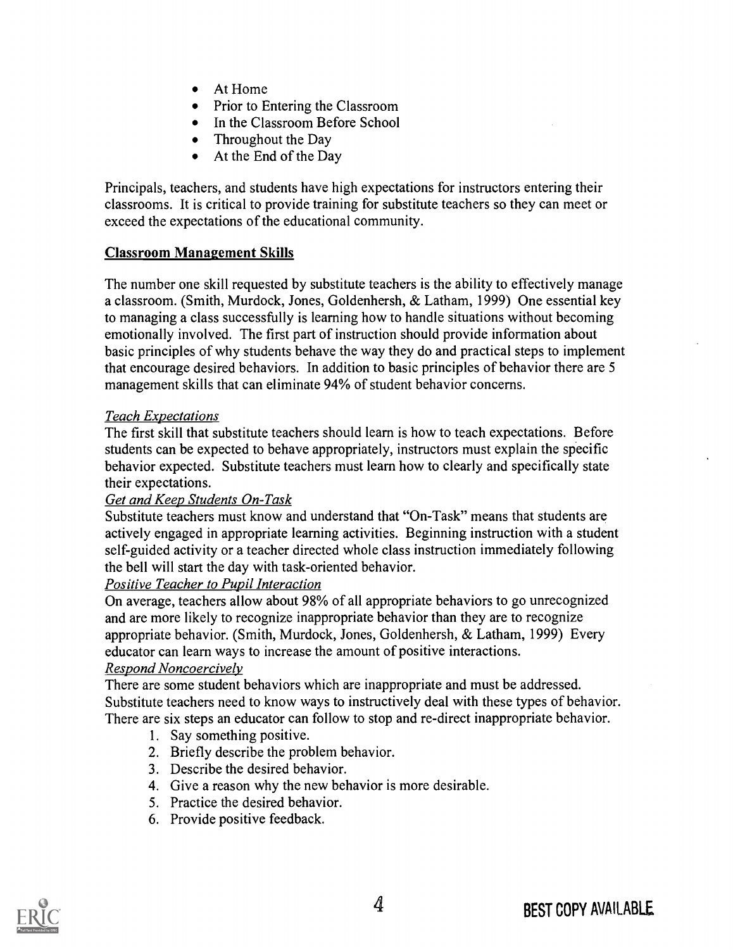- At Home
- Prior to Entering the Classroom
- In the Classroom Before School
- Throughout the Day
- At the End of the Day

Principals, teachers, and students have high expectations for instructors entering their classrooms. It is critical to provide training for substitute teachers so they can meet or exceed the expectations of the educational community.

### Classroom Management Skills

The number one skill requested by substitute teachers is the ability to effectively manage a classroom. (Smith, Murdock, Jones, Goldenhersh, & Latham, 1999) One essential key to managing a class successfully is learning how to handle situations without becoming emotionally involved. The first part of instruction should provide information about basic principles of why students behave the way they do and practical steps to implement that encourage desired behaviors. In addition to basic principles of behavior there are 5 management skills that can eliminate 94% of student behavior concerns.

#### Teach Expectations

The first skill that substitute teachers should learn is how to teach expectations. Before students can be expected to behave appropriately, instructors must explain the specific behavior expected. Substitute teachers must learn how to clearly and specifically state their expectations.

### Get and Keep Students On-Task

Substitute teachers must know and understand that "On-Task" means that students are actively engaged in appropriate learning activities. Beginning instruction with a student self-guided activity or a teacher directed whole class instruction immediately following the bell will start the day with task-oriented behavior.

### Positive Teacher to Pupil Interaction

On average, teachers allow about 98% of all appropriate behaviors to go unrecognized and are more likely to recognize inappropriate behavior than they are to recognize appropriate behavior. (Smith, Murdock, Jones, Goldenhersh, & Latham, 1999) Every educator can learn ways to increase the amount of positive interactions.

#### Respond Noncoercively

There are some student behaviors which are inappropriate and must be addressed. Substitute teachers need to know ways to instructively deal with these types of behavior. There are six steps an educator can follow to stop and re-direct inappropriate behavior.

- 1. Say something positive.
- 2. Briefly describe the problem behavior.
- 3. Describe the desired behavior.
- 4. Give a reason why the new behavior is more desirable.
- 5. Practice the desired behavior.
- 6. Provide positive feedback.

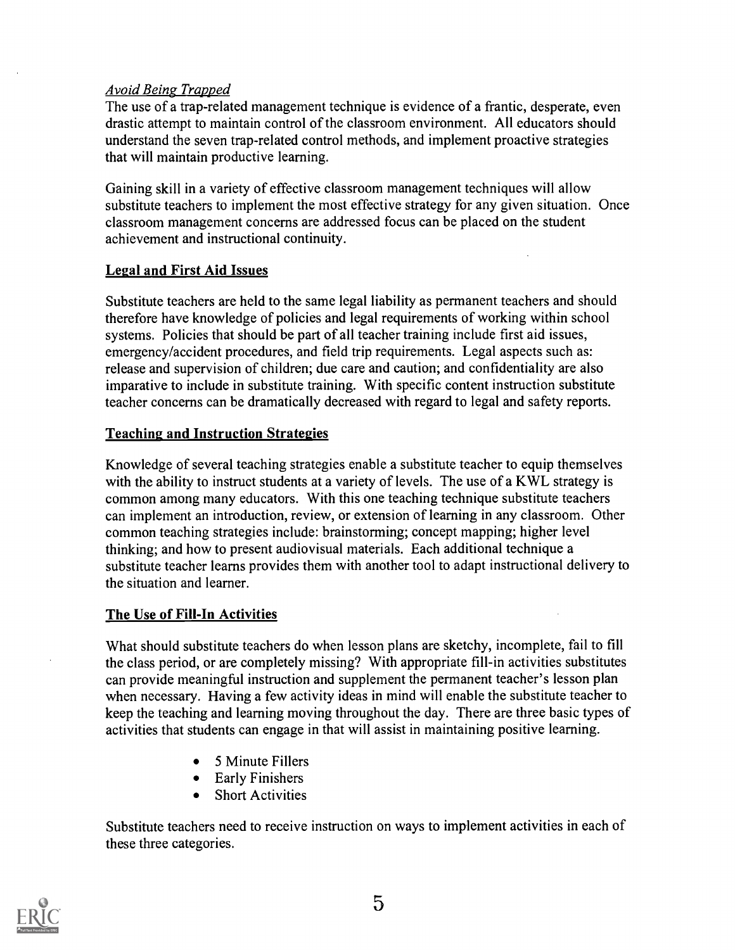#### Avoid Being Trapped

The use of a trap-related management technique is evidence of a frantic, desperate, even drastic attempt to maintain control of the classroom environment. All educators should understand the seven trap-related control methods, and implement proactive strategies that will maintain productive learning.

Gaining skill in a variety of effective classroom management techniques will allow substitute teachers to implement the most effective strategy for any given situation. Once classroom management concerns are addressed focus can be placed on the student achievement and instructional continuity.

#### Legal and First Aid Issues

Substitute teachers are held to the same legal liability as permanent teachers and should therefore have knowledge of policies and legal requirements of working within school systems. Policies that should be part of all teacher training include first aid issues, emergency/accident procedures, and field trip requirements. Legal aspects such as: release and supervision of children; due care and caution; and confidentiality are also imparative to include in substitute training. With specific content instruction substitute teacher concerns can be dramatically decreased with regard to legal and safety reports.

#### Teaching and Instruction Strategies

Knowledge of several teaching strategies enable a substitute teacher to equip themselves with the ability to instruct students at a variety of levels. The use of a KWL strategy is common among many educators. With this one teaching technique substitute teachers can implement an introduction, review, or extension of learning in any classroom. Other common teaching strategies include: brainstorming; concept mapping; higher level thinking; and how to present audiovisual materials. Each additional technique a substitute teacher learns provides them with another tool to adapt instructional delivery to the situation and learner.

### The Use of Fill-In Activities

What should substitute teachers do when lesson plans are sketchy, incomplete, fail to fill the class period, or are completely missing? With appropriate fill-in activities substitutes can provide meaningful instruction and supplement the permanent teacher's lesson plan when necessary. Having a few activity ideas in mind will enable the substitute teacher to keep the teaching and learning moving throughout the day. There are three basic types of activities that students can engage in that will assist in maintaining positive learning.

- 5 Minute Fillers
- Early Finishers
- Short Activities

Substitute teachers need to receive instruction on ways to implement activities in each of these three categories.

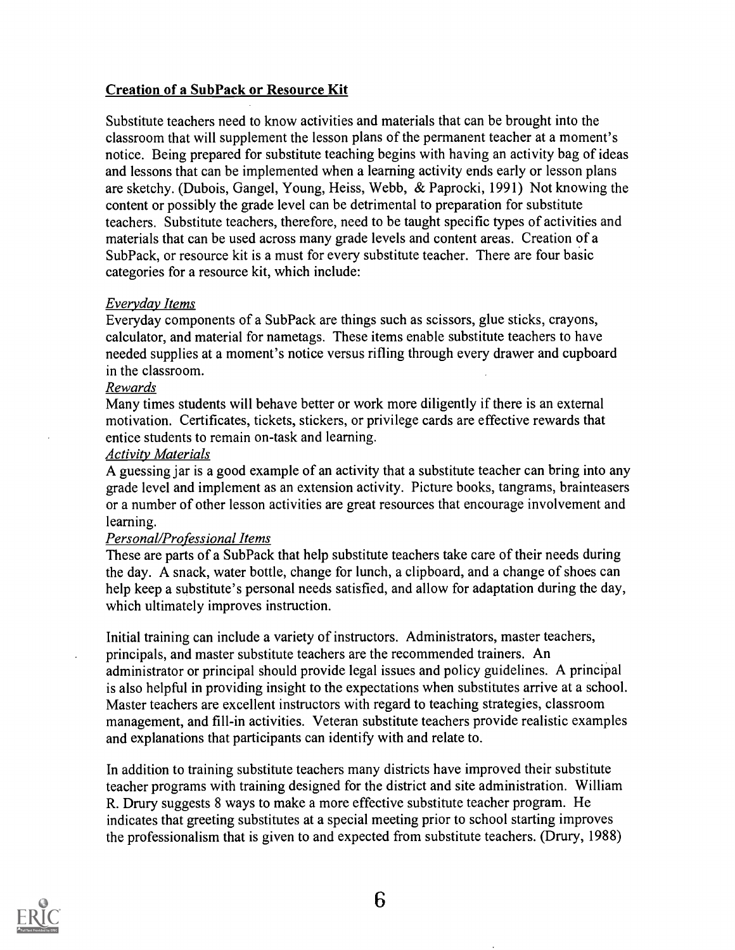### **Creation of a SubPack or Resource Kit**

Substitute teachers need to know activities and materials that can be brought into the classroom that will supplement the lesson plans of the permanent teacher at a moment's notice. Being prepared for substitute teaching begins with having an activity bag of ideas and lessons that can be implemented when a learning activity ends early or lesson plans are sketchy. (Dubois, Gangel, Young, Heiss, Webb, & Paprocki, 1991) Not knowing the content or possibly the grade level can be detrimental to preparation for substitute teachers. Substitute teachers, therefore, need to be taught specific types of activities and materials that can be used across many grade levels and content areas. Creation of a SubPack, or resource kit is a must for every substitute teacher. There are four basic categories for a resource kit, which include:

#### Everyday Items

Everyday components of a SubPack are things such as scissors, glue sticks, crayons, calculator, and material for nametags. These items enable substitute teachers to have needed supplies at a moment's notice versus rifling through every drawer and cupboard in the classroom.

#### Rewards

Many times students will behave better or work more diligently if there is an external motivation. Certificates, tickets, stickers, or privilege cards are effective rewards that entice students to remain on-task and learning.

#### Activity Materials

A guessing jar is a good example of an activity that a substitute teacher can bring into any grade level and implement as an extension activity. Picture books, tangrams, brainteasers or a number of other lesson activities are great resources that encourage involvement and learning.

#### Personal/Professional Items

These are parts of a SubPack that help substitute teachers take care of their needs during the day. A snack, water bottle, change for lunch, a clipboard, and a change of shoes can help keep a substitute's personal needs satisfied, and allow for adaptation during the day, which ultimately improves instruction.

Initial training can include a variety of instructors. Administrators, master teachers, principals, and master substitute teachers are the recommended trainers. An administrator or principal should provide legal issues and policy guidelines. A principal is also helpful in providing insight to the expectations when substitutes arrive at a school. Master teachers are excellent instructors with regard to teaching strategies, classroom management, and fill-in activities. Veteran substitute teachers provide realistic examples and explanations that participants can identify with and relate to.

In addition to training substitute teachers many districts have improved their substitute teacher programs with training designed for the district and site administration. William R. Drury suggests 8 ways to make a more effective substitute teacher program. He indicates that greeting substitutes at a special meeting prior to school starting improves the professionalism that is given to and expected from substitute teachers. (Drury, 1988)

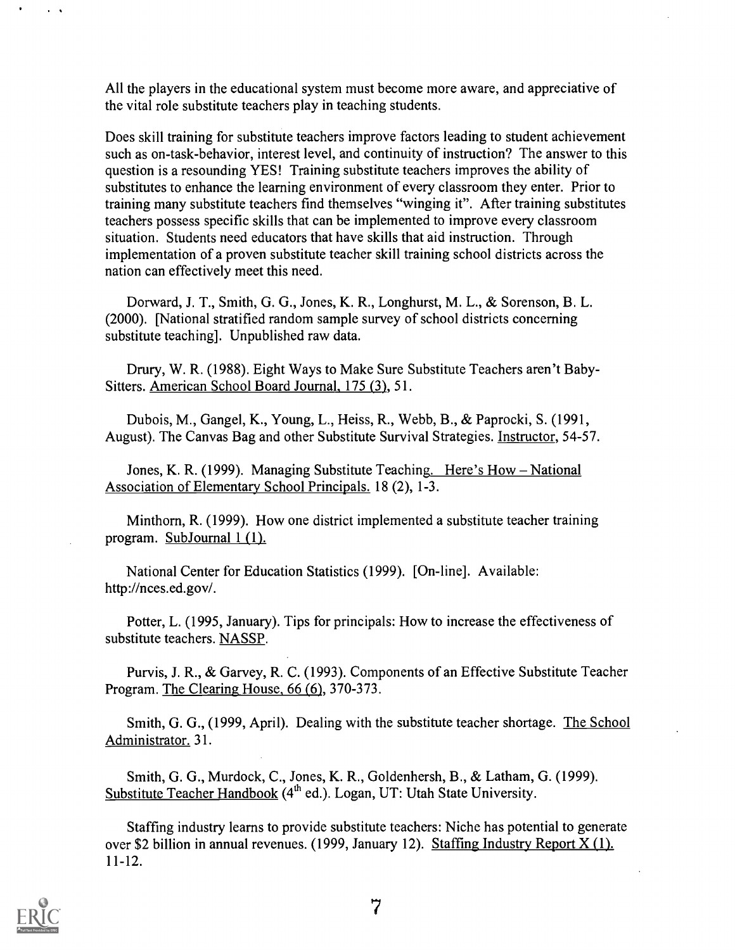All the players in the educational system must become more aware, and appreciative of the vital role substitute teachers play in teaching students.

Does skill training for substitute teachers improve factors leading to student achievement such as on-task-behavior, interest level, and continuity of instruction? The answer to this question is a resounding YES! Training substitute teachers improves the ability of substitutes to enhance the learning environment of every classroom they enter. Prior to training many substitute teachers find themselves "winging it". After training substitutes teachers possess specific skills that can be implemented to improve every classroom situation. Students need educators that have skills that aid instruction. Through implementation of a proven substitute teacher skill training school districts across the nation can effectively meet this need.

Dorward, J. T., Smith, G. G., Jones, K. R., Longhurst, M. L., & Sorenson, B. L. (2000). [National stratified random sample survey of school districts concerning substitute teaching]. Unpublished raw data.

Drury, W. R. (1988). Eight Ways to Make Sure Substitute Teachers aren't Baby-Sitters. American School Board Journal, 175 (3), 51.

Dubois, M., Gangel, K., Young, L., Heiss, R., Webb, B., & Paprocki, S. (1991, August). The Canvas Bag and other Substitute Survival Strategies. Instructor, 54-57.

Jones, K. R. (1999). Managing Substitute Teaching. Here's How - National Association of Elementary School Principals. 18 (2), 1-3.

Minthorn, R. (1999). How one district implemented a substitute teacher training program. SubJournal 1 (1).

National Center for Education Statistics (1999). [On-line]. Available: http://nces.ed.gov/.

Potter, L. (1995, January). Tips for principals: How to increase the effectiveness of substitute teachers. NASSP.

Purvis, J. R., & Garvey, R. C. (1993). Components of an Effective Substitute Teacher Program. The Clearing House, 66 (6), 370-373.

Smith, G. G., (1999, April). Dealing with the substitute teacher shortage. The School Administrator. 31.

Smith, G. G., Murdock, C., Jones, K. R., Goldenhersh, B., & Latham, G. (1999). Substitute Teacher Handbook (4<sup>th</sup> ed.). Logan, UT: Utah State University.

Staffing industry learns to provide substitute teachers: Niche has potential to generate over \$2 billion in annual revenues. (1999, January 12). Staffing Industry Report  $X(1)$ . 11-12.



 $\mathbf{r}$